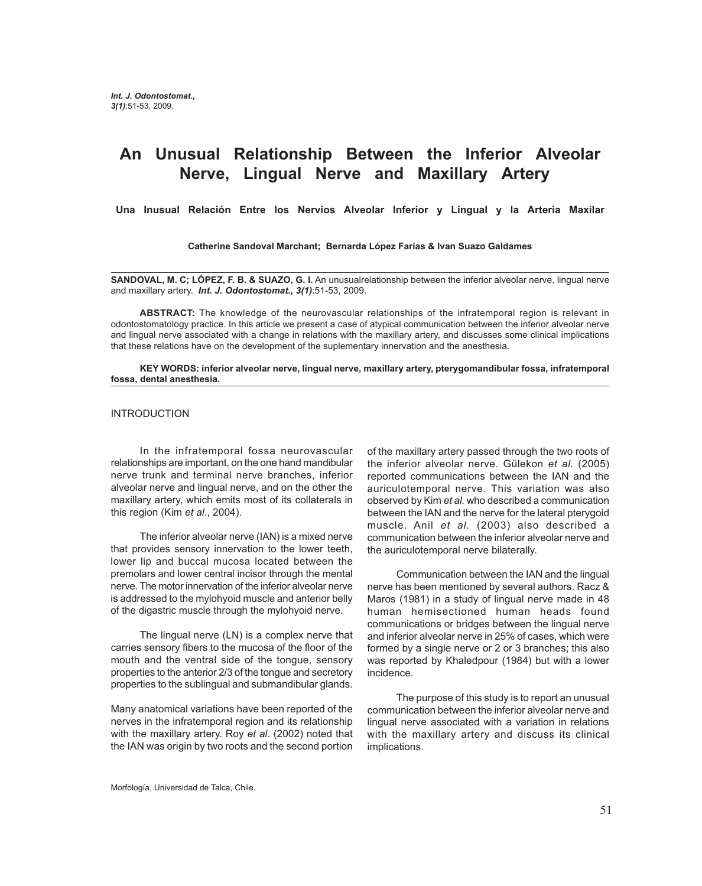# **An Unusual Relationship Between the Inferior Alveolar Nerve, Lingual Nerve and Maxillary Artery**

**Una Inusual Relación Entre los Nervios Alveolar Inferior y Lingual y la Arteria Maxilar**

**Catherine Sandoval Marchant; Bernarda López Farias & Ivan Suazo Galdames**

**SANDOVAL, M. C; LÓPEZ, F. B. & SUAZO, G. I.** An unusualrelationship between the inferior alveolar nerve, lingual nerve and maxillary artery. *Int. J. Odontostomat., 3(1)*:51-53, 2009.

**ABSTRACT:** The knowledge of the neurovascular relationships of the infratemporal region is relevant in odontostomatology practice. In this article we present a case of atypical communication between the inferior alveolar nerve and lingual nerve associated with a change in relations with the maxillary artery, and discusses some clinical implications that these relations have on the development of the suplementary innervation and the anesthesia.

#### **KEY WORDS: inferior alveolar nerve, lingual nerve, maxillary artery, pterygomandibular fossa, infratemporal fossa, dental anesthesia.**

#### INTRODUCTION

In the infratemporal fossa neurovascular relationships are important, on the one hand mandibular nerve trunk and terminal nerve branches, inferior alveolar nerve and lingual nerve, and on the other the maxillary artery, which emits most of its collaterals in this region (Kim *et al*., 2004).

The inferior alveolar nerve (IAN) is a mixed nerve that provides sensory innervation to the lower teeth, lower lip and buccal mucosa located between the premolars and lower central incisor through the mental nerve. The motor innervation of the inferior alveolar nerve is addressed to the mylohyoid muscle and anterior belly of the digastric muscle through the mylohyoid nerve.

The lingual nerve (LN) is a complex nerve that carries sensory fibers to the mucosa of the floor of the mouth and the ventral side of the tongue, sensory properties to the anterior 2/3 of the tongue and secretory properties to the sublingual and submandibular glands.

Many anatomical variations have been reported of the nerves in the infratemporal region and its relationship with the maxillary artery. Roy *et al*. (2002) noted that the IAN was origin by two roots and the second portion

of the maxillary artery passed through the two roots of the inferior alveolar nerve. Gülekon *et al.* (2005) reported communications between the IAN and the auriculotemporal nerve. This variation was also observed by Kim *et al.* who described a communication between the IAN and the nerve for the lateral pterygoid muscle. Anil *et al.* (2003) also described a communication between the inferior alveolar nerve and the auriculotemporal nerve bilaterally.

Communication between the IAN and the lingual nerve has been mentioned by several authors. Racz & Maros (1981) in a study of lingual nerve made in 48 human hemisectioned human heads found communications or bridges between the lingual nerve and inferior alveolar nerve in 25% of cases, which were formed by a single nerve or 2 or 3 branches; this also was reported by Khaledpour (1984) but with a lower incidence.

The purpose of this study is to report an unusual communication between the inferior alveolar nerve and lingual nerve associated with a variation in relations with the maxillary artery and discuss its clinical implications.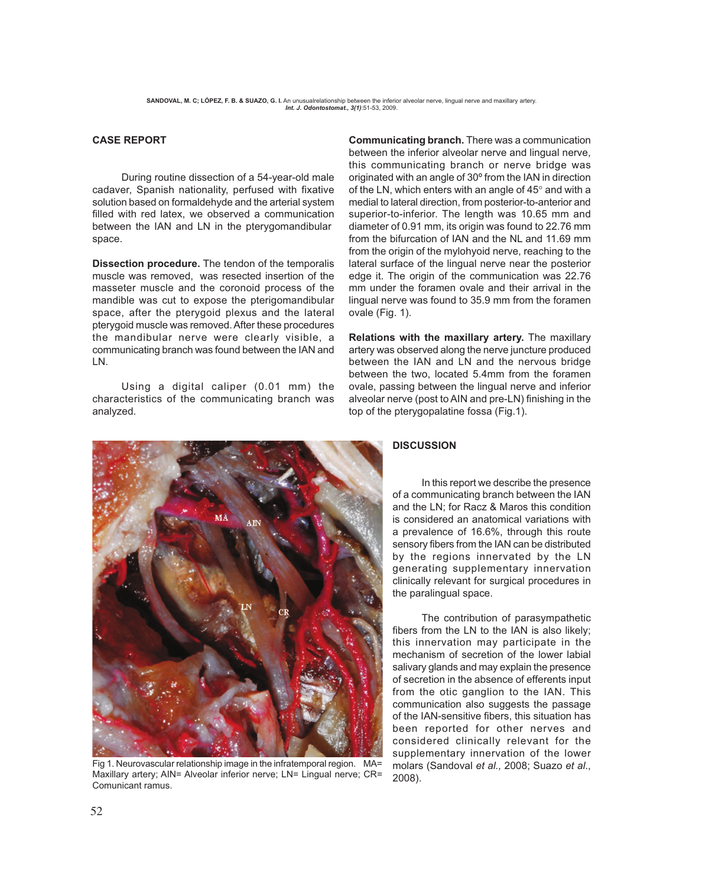## **CASE REPORT**

During routine dissection of a 54-year-old male cadaver, Spanish nationality, perfused with fixative solution based on formaldehyde and the arterial system filled with red latex, we observed a communication between the IAN and LN in the pterygomandibular space.

**Dissection procedure.** The tendon of the temporalis muscle was removed, was resected insertion of the masseter muscle and the coronoid process of the mandible was cut to expose the pterigomandibular space, after the pterygoid plexus and the lateral pterygoid muscle was removed. After these procedures the mandibular nerve were clearly visible, a communicating branch was found between the IAN and LN.

Using a digital caliper (0.01 mm) the characteristics of the communicating branch was analyzed.

**Communicating branch.** There was a communication between the inferior alveolar nerve and lingual nerve, this communicating branch or nerve bridge was originated with an angle of 30º from the IAN in direction of the LN, which enters with an angle of 45° and with a medial to lateral direction, from posterior-to-anterior and superior-to-inferior. The length was 10.65 mm and diameter of 0.91 mm, its origin was found to 22.76 mm from the bifurcation of IAN and the NL and 11.69 mm from the origin of the mylohyoid nerve, reaching to the lateral surface of the lingual nerve near the posterior edge it. The origin of the communication was 22.76 mm under the foramen ovale and their arrival in the lingual nerve was found to 35.9 mm from the foramen ovale (Fig. 1).

**Relations with the maxillary artery.** The maxillary artery was observed along the nerve juncture produced between the IAN and LN and the nervous bridge between the two, located 5.4mm from the foramen ovale, passing between the lingual nerve and inferior alveolar nerve (post to AIN and pre-LN) finishing in the top of the pterygopalatine fossa (Fig.1).



Fig 1. Neurovascular relationship image in the infratemporal region. MA= Maxillary artery; AIN= Alveolar inferior nerve; LN= Lingual nerve; CR= Comunicant ramus.

## **DISCUSSION**

In this report we describe the presence of a communicating branch between the IAN and the LN; for Racz & Maros this condition is considered an anatomical variations with a prevalence of 16.6%, through this route sensory fibers from the IAN can be distributed by the regions innervated by the LN generating supplementary innervation clinically relevant for surgical procedures in the paralingual space.

The contribution of parasympathetic fibers from the LN to the IAN is also likely; this innervation may participate in the mechanism of secretion of the lower labial salivary glands and may explain the presence of secretion in the absence of efferents input from the otic ganglion to the IAN. This communication also suggests the passage of the IAN-sensitive fibers, this situation has been reported for other nerves and considered clinically relevant for the supplementary innervation of the lower molars (Sandoval *et al.,* 2008; Suazo *et al*., 2008).